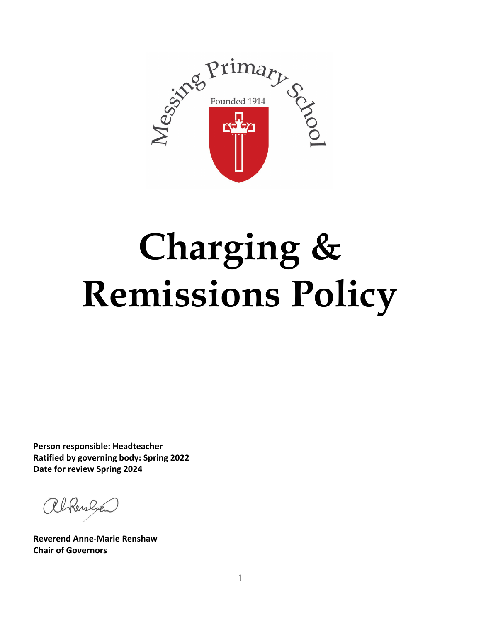

# **Charging & Remissions Policy**

**Person responsible: Headteacher Ratified by governing body: Spring 2022 Date for review Spring 2024**

albenly

**Reverend Anne-Marie Renshaw Chair of Governors**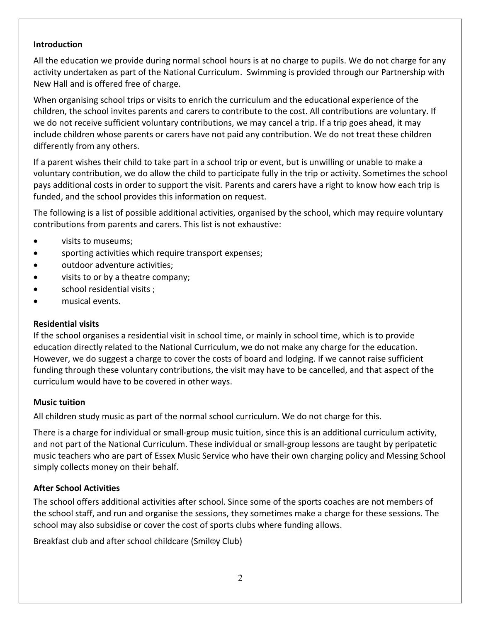#### **Introduction**

All the education we provide during normal school hours is at no charge to pupils. We do not charge for any activity undertaken as part of the National Curriculum. Swimming is provided through our Partnership with New Hall and is offered free of charge.

When organising school trips or visits to enrich the curriculum and the educational experience of the children, the school invites parents and carers to contribute to the cost. All contributions are voluntary. If we do not receive sufficient voluntary contributions, we may cancel a trip. If a trip goes ahead, it may include children whose parents or carers have not paid any contribution. We do not treat these children differently from any others.

If a parent wishes their child to take part in a school trip or event, but is unwilling or unable to make a voluntary contribution, we do allow the child to participate fully in the trip or activity. Sometimes the school pays additional costs in order to support the visit. Parents and carers have a right to know how each trip is funded, and the school provides this information on request.

The following is a list of possible additional activities, organised by the school, which may require voluntary contributions from parents and carers. This list is not exhaustive:

- visits to museums;
- sporting activities which require transport expenses;
- outdoor adventure activities;
- visits to or by a theatre company;
- school residential visits ;
- musical events.

### **Residential visits**

If the school organises a residential visit in school time, or mainly in school time, which is to provide education directly related to the National Curriculum, we do not make any charge for the education. However, we do suggest a charge to cover the costs of board and lodging. If we cannot raise sufficient funding through these voluntary contributions, the visit may have to be cancelled, and that aspect of the curriculum would have to be covered in other ways.

### **Music tuition**

All children study music as part of the normal school curriculum. We do not charge for this.

There is a charge for individual or small-group music tuition, since this is an additional curriculum activity, and not part of the National Curriculum. These individual or small-group lessons are taught by peripatetic music teachers who are part of Essex Music Service who have their own charging policy and Messing School simply collects money on their behalf.

## **After School Activities**

The school offers additional activities after school. Since some of the sports coaches are not members of the school staff, and run and organise the sessions, they sometimes make a charge for these sessions. The school may also subsidise or cover the cost of sports clubs where funding allows.

Breakfast club and after school childcare (Smil<sup>o</sup>y Club)